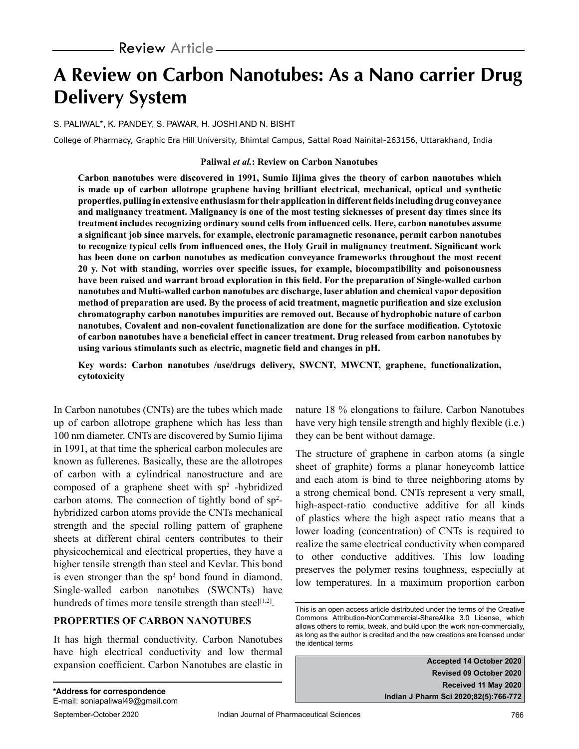# **A Review on Carbon Nanotubes: As a Nano carrier Drug Delivery System**

S. PALIWAL\*, K. PANDEY, S. PAWAR, H. JOSHI AND N. BISHT

College of Pharmacy, Graphic Era Hill University, Bhimtal Campus, Sattal Road Nainital-263156, Uttarakhand, India

#### **Paliwal** *et al.***: Review on Carbon Nanotubes**

**Carbon nanotubes were discovered in 1991, Sumio Iijima gives the theory of carbon nanotubes which is made up of carbon allotrope graphene having brilliant electrical, mechanical, optical and synthetic properties, pulling in extensive enthusiasm for their application in different fields including drug conveyance and malignancy treatment. Malignancy is one of the most testing sicknesses of present day times since its treatment includes recognizing ordinary sound cells from influenced cells. Here, carbon nanotubes assume a significant job since marvels, for example, electronic paramagnetic resonance, permit carbon nanotubes to recognize typical cells from influenced ones, the Holy Grail in malignancy treatment. Significant work has been done on carbon nanotubes as medication conveyance frameworks throughout the most recent 20 y. Not with standing, worries over specific issues, for example, biocompatibility and poisonousness have been raised and warrant broad exploration in this field. For the preparation of Single-walled carbon nanotubes and Multi-walled carbon nanotubes arc discharge, laser ablation and chemical vapor deposition method of preparation are used. By the process of acid treatment, magnetic purification and size exclusion chromatography carbon nanotubes impurities are removed out. Because of hydrophobic nature of carbon nanotubes, Covalent and non-covalent functionalization are done for the surface modification. Cytotoxic of carbon nanotubes have a beneficial effect in cancer treatment. Drug released from carbon nanotubes by using various stimulants such as electric, magnetic field and changes in pH.**

**Key words: Carbon nanotubes /use/drugs delivery, SWCNT, MWCNT, graphene, functionalization, cytotoxicity**

In Carbon nanotubes (CNTs) are the tubes which made up of carbon allotrope graphene which has less than 100 nm diameter. CNTs are discovered by Sumio Iijima in 1991, at that time the spherical carbon molecules are known as fullerenes. Basically, these are the allotropes of carbon with a cylindrical nanostructure and are composed of a graphene sheet with  $sp<sup>2</sup>$  -hybridized carbon atoms. The connection of tightly bond of  $sp^2$ hybridized carbon atoms provide the CNTs mechanical strength and the special rolling pattern of graphene sheets at different chiral centers contributes to their physicochemical and electrical properties, they have a higher tensile strength than steel and Kevlar. This bond is even stronger than the  $sp<sup>3</sup>$  bond found in diamond. Single-walled carbon nanotubes (SWCNTs) have hundreds of times more tensile strength than steel $[1,2]$ .

## **PROPERTIES OF CARBON NANOTUBES**

It has high thermal conductivity. Carbon Nanotubes have high electrical conductivity and low thermal expansion coefficient. Carbon Nanotubes are elastic in nature 18 % elongations to failure. Carbon Nanotubes have very high tensile strength and highly flexible (i.e.) they can be bent without damage.

The structure of graphene in carbon atoms (a single sheet of graphite) forms a planar honeycomb lattice and each atom is bind to three neighboring atoms by a strong chemical bond. CNTs represent a very small, high-aspect-ratio conductive additive for all kinds of plastics where the high aspect ratio means that a lower loading (concentration) of CNTs is required to realize the same electrical conductivity when compared to other conductive additives. This low loading preserves the polymer resins toughness, especially at low temperatures. In a maximum proportion carbon

**Accepted 14 October 2020 Revised 09 October 2020 Received 11 May 2020 Indian J Pharm Sci 2020;82(5):766-772**

This is an open access article distributed under the terms of the Creative Commons Attribution-NonCommercial-ShareAlike 3.0 License, which allows others to remix, tweak, and build upon the work non-commercially, as long as the author is credited and the new creations are licensed under the identical terms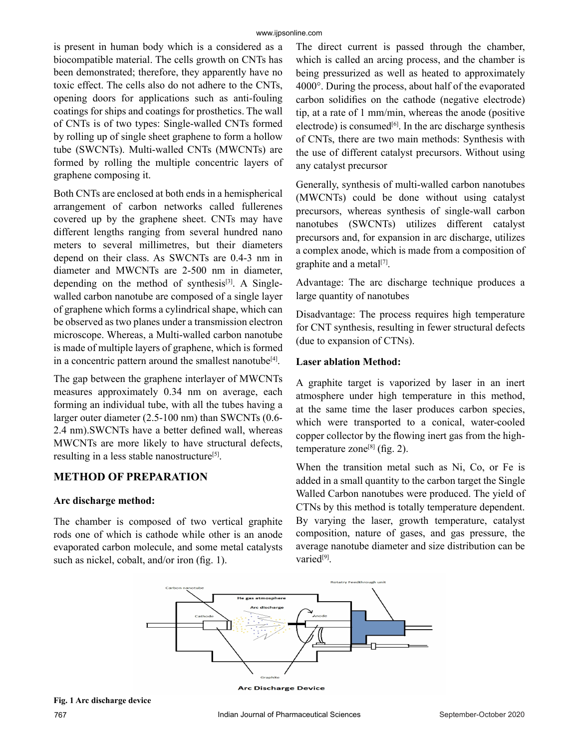#### www.ijpsonline.com

is present in human body which is a considered as a biocompatible material. The cells growth on CNTs has been demonstrated; therefore, they apparently have no toxic effect. The cells also do not adhere to the CNTs, opening doors for applications such as anti-fouling coatings for ships and coatings for prosthetics. The wall of CNTs is of two types: Single-walled CNTs formed by rolling up of single sheet graphene to form a hollow tube (SWCNTs). Multi-walled CNTs (MWCNTs) are formed by rolling the multiple concentric layers of graphene composing it.

Both CNTs are enclosed at both ends in a hemispherical arrangement of carbon networks called fullerenes covered up by the graphene sheet. CNTs may have different lengths ranging from several hundred nano meters to several millimetres, but their diameters depend on their class. As SWCNTs are 0.4-3 nm in diameter and MWCNTs are 2-500 nm in diameter, depending on the method of synthesis<sup>[3]</sup>. A Singlewalled carbon nanotube are composed of a single layer of graphene which forms a cylindrical shape, which can be observed as two planes under a transmission electron microscope. Whereas, a Multi-walled carbon nanotube is made of multiple layers of graphene, which is formed in a concentric pattern around the smallest nanotube<sup>[4]</sup>.

The gap between the graphene interlayer of MWCNTs measures approximately 0.34 nm on average, each forming an individual tube, with all the tubes having a larger outer diameter (2.5-100 nm) than SWCNTs (0.6- 2.4 nm).SWCNTs have a better defined wall, whereas MWCNTs are more likely to have structural defects, resulting in a less stable nanostructure<sup>[5]</sup>.

## **METHOD OF PREPARATION**

#### **Arc discharge method:**

The chamber is composed of two vertical graphite rods one of which is cathode while other is an anode evaporated carbon molecule, and some metal catalysts such as nickel, cobalt, and/or iron (fig. 1).

The direct current is passed through the chamber, which is called an arcing process, and the chamber is being pressurized as well as heated to approximately 4000°. During the process, about half of the evaporated carbon solidifies on the cathode (negative electrode) tip, at a rate of 1 mm/min, whereas the anode (positive electrode) is consumed $[6]$ . In the arc discharge synthesis of CNTs, there are two main methods: Synthesis with the use of different catalyst precursors. Without using any catalyst precursor

Generally, synthesis of multi-walled carbon nanotubes (MWCNTs) could be done without using catalyst precursors, whereas synthesis of single-wall carbon nanotubes (SWCNTs) utilizes different catalyst precursors and, for expansion in arc discharge, utilizes a complex anode, which is made from a composition of graphite and a metal<sup>[7]</sup>.

Advantage: The arc discharge technique produces a large quantity of nanotubes

Disadvantage: The process requires high temperature for CNT synthesis, resulting in fewer structural defects (due to expansion of CTNs).

#### **Laser ablation Method:**

A graphite target is vaporized by laser in an inert atmosphere under high temperature in this method, at the same time the laser produces carbon species, which were transported to a conical, water-cooled copper collector by the flowing inert gas from the hightemperature zone<sup>[8]</sup> (fig. 2).

When the transition metal such as Ni, Co, or Fe is added in a small quantity to the carbon target the Single Walled Carbon nanotubes were produced. The yield of CTNs by this method is totally temperature dependent. By varying the laser, growth temperature, catalyst composition, nature of gases, and gas pressure, the average nanotube diameter and size distribution can be varied<sup>[9]</sup>.



**Fig. 1 Arc discharge device**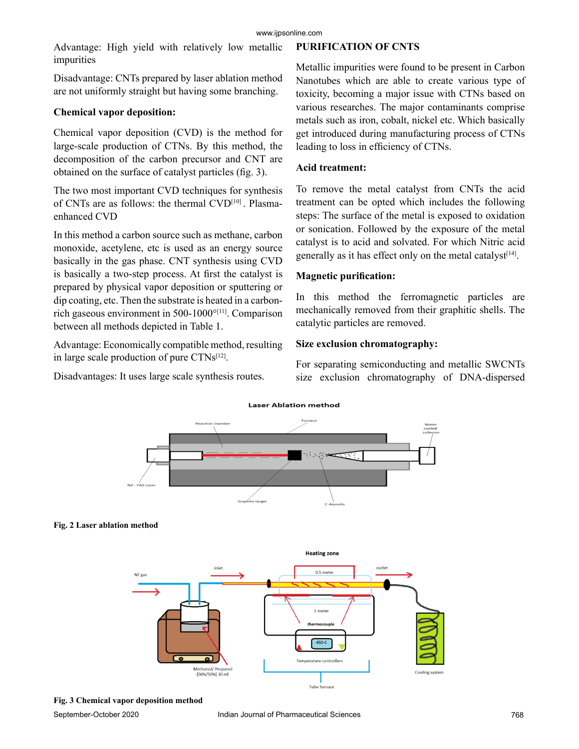Advantage: High yield with relatively low metallic impurities

Disadvantage: CNTs prepared by laser ablation method are not uniformly straight but having some branching.

#### **Chemical vapor deposition:**

Chemical vapor deposition (CVD) is the method for large-scale production of CTNs. By this method, the decomposition of the carbon precursor and CNT are obtained on the surface of catalyst particles (fig. 3).

The two most important CVD techniques for synthesis of CNTs are as follows: the thermal CVD[10] . Plasmaenhanced CVD

In this method a carbon source such as methane, carbon monoxide, acetylene, etc is used as an energy source basically in the gas phase. CNT synthesis using CVD is basically a two-step process. At first the catalyst is prepared by physical vapor deposition or sputtering or dip coating, etc. Then the substrate is heated in a carbonrich gaseous environment in 500-1000°[11]. Comparison between all methods depicted in Table 1.

Advantage: Economically compatible method, resulting in large scale production of pure CTNs<sup>[12]</sup>.

Disadvantages: It uses large scale synthesis routes.

## **PURIFICATION OF CNTS**

Metallic impurities were found to be present in Carbon Nanotubes which are able to create various type of toxicity, becoming a major issue with CTNs based on various researches. The major contaminants comprise metals such as iron, cobalt, nickel etc. Which basically get introduced during manufacturing process of CTNs leading to loss in efficiency of CTNs.

#### **Acid treatment:**

To remove the metal catalyst from CNTs the acid treatment can be opted which includes the following steps: The surface of the metal is exposed to oxidation or sonication. Followed by the exposure of the metal catalyst is to acid and solvated. For which Nitric acid generally as it has effect only on the metal catalyst $[14]$ .

## **Magnetic purification:**

In this method the ferromagnetic particles are mechanically removed from their graphitic shells. The catalytic particles are removed.

## **Size exclusion chromatography:**

For separating semiconducting and metallic SWCNTs size exclusion chromatography of DNA-dispersed



## **Laser Ablation method**



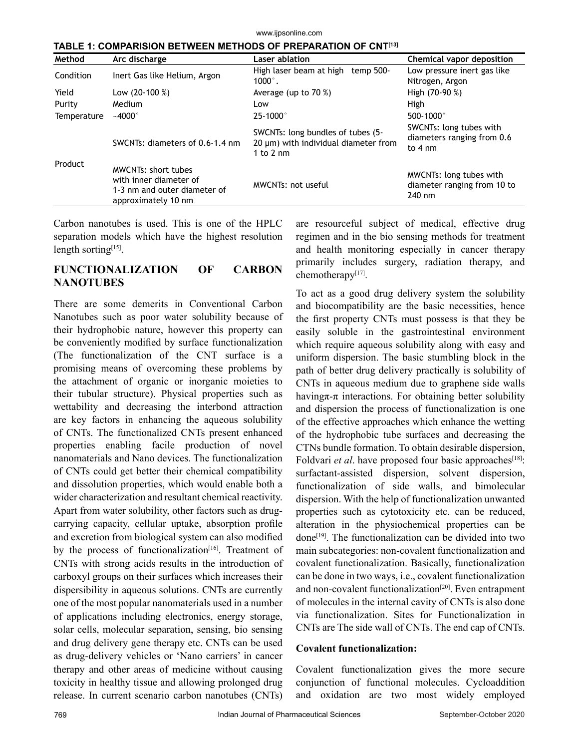www.ijpsonline.com

| Method      | Arc discharge                                                                                               | Laser ablation                                                                                   | Chemical vapor deposition                                                  |
|-------------|-------------------------------------------------------------------------------------------------------------|--------------------------------------------------------------------------------------------------|----------------------------------------------------------------------------|
| Condition   | Inert Gas like Helium, Argon                                                                                | High laser beam at high temp 500-<br>$1000^\circ$ .                                              | Low pressure inert gas like<br>Nitrogen, Argon                             |
| Yield       | Low $(20-100\%)$                                                                                            | Average (up to $70\%$ )                                                                          | High (70-90 %)                                                             |
| Purity      | Medium                                                                                                      | Low                                                                                              | High                                                                       |
| Temperature | $-4000$ °                                                                                                   | $25 - 1000$ °                                                                                    | 500-1000 $^{\circ}$                                                        |
| Product     | SWCNTs: diameters of 0.6-1.4 nm                                                                             | SWCNTs: long bundles of tubes (5-<br>20 µm) with individual diameter from<br>1 to $2 \text{ nm}$ | SWCNTs: long tubes with<br>diameters ranging from 0.6<br>to $4 \text{ nm}$ |
|             | <b>MWCNTs: short tubes</b><br>with inner diameter of<br>1-3 nm and outer diameter of<br>approximately 10 nm | MWCNTs: not useful                                                                               | MWCNTs: long tubes with<br>diameter ranging from 10 to<br>240 nm           |

**TABLE 1: COMPARISION BETWEEN METHODS OF PREPARATION OF CNT[13]**

Carbon nanotubes is used. This is one of the HPLC separation models which have the highest resolution length sorting<sup>[15]</sup>.

## **FUNCTIONALIZATION OF CARBON NANOTUBES**

There are some demerits in Conventional Carbon Nanotubes such as poor water solubility because of their hydrophobic nature, however this property can be conveniently modified by surface functionalization (The functionalization of the CNT surface is a promising means of overcoming these problems by the attachment of organic or inorganic moieties to their tubular structure). Physical properties such as wettability and decreasing the interbond attraction are key factors in enhancing the aqueous solubility of CNTs. The functionalized CNTs present enhanced properties enabling facile production of novel nanomaterials and Nano devices. The functionalization of CNTs could get better their chemical compatibility and dissolution properties, which would enable both a wider characterization and resultant chemical reactivity. Apart from water solubility, other factors such as drugcarrying capacity, cellular uptake, absorption profile and excretion from biological system can also modified by the process of functionalization<sup>[16]</sup>. Treatment of CNTs with strong acids results in the introduction of carboxyl groups on their surfaces which increases their dispersibility in aqueous solutions. CNTs are currently one of the most popular nanomaterials used in a number of applications including electronics, energy storage, solar cells, molecular separation, sensing, bio sensing and drug delivery gene therapy etc. CNTs can be used as drug-delivery vehicles or 'Nano carriers' in cancer therapy and other areas of medicine without causing toxicity in healthy tissue and allowing prolonged drug release. In current scenario carbon nanotubes (CNTs) are resourceful subject of medical, effective drug regimen and in the bio sensing methods for treatment and health monitoring especially in cancer therapy primarily includes surgery, radiation therapy, and chemotherapy<sup>[17]</sup>.

To act as a good drug delivery system the solubility and biocompatibility are the basic necessities, hence the first property CNTs must possess is that they be easily soluble in the gastrointestinal environment which require aqueous solubility along with easy and uniform dispersion. The basic stumbling block in the path of better drug delivery practically is solubility of CNTs in aqueous medium due to graphene side walls having $\pi$ - $\pi$  interactions. For obtaining better solubility and dispersion the process of functionalization is one of the effective approaches which enhance the wetting of the hydrophobic tube surfaces and decreasing the CTNs bundle formation. To obtain desirable dispersion, Foldvari *et al*. have proposed four basic approaches<sup>[18]</sup>: surfactant-assisted dispersion, solvent dispersion, functionalization of side walls, and bimolecular dispersion. With the help of functionalization unwanted properties such as cytotoxicity etc. can be reduced, alteration in the physiochemical properties can be  $done^{[19]}$ . The functionalization can be divided into two main subcategories: non-covalent functionalization and covalent functionalization. Basically, functionalization can be done in two ways, i.e., covalent functionalization and non-covalent functionalization<sup>[20]</sup>. Even entrapment of molecules in the internal cavity of CNTs is also done via functionalization. Sites for Functionalization in CNTs are The side wall of CNTs. The end cap of CNTs.

#### **Covalent functionalization:**

Covalent functionalization gives the more secure conjunction of functional molecules. Cycloaddition and oxidation are two most widely employed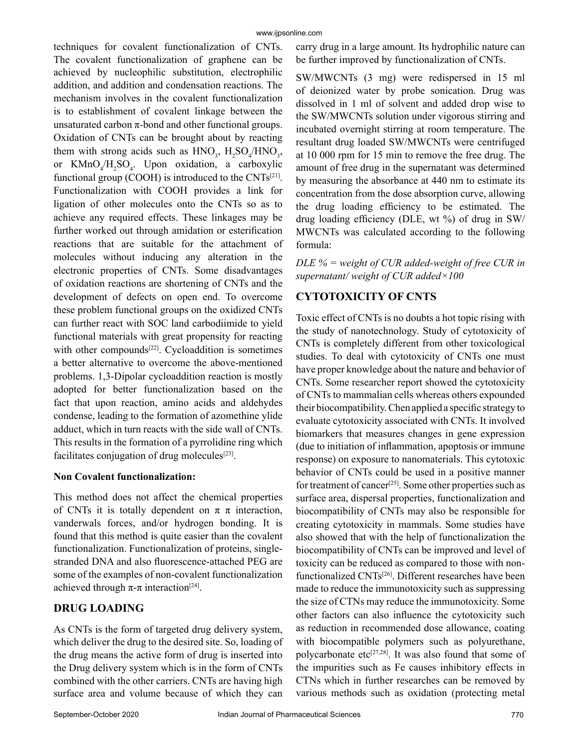techniques for covalent functionalization of CNTs. The covalent functionalization of graphene can be achieved by nucleophilic substitution, electrophilic addition, and addition and condensation reactions. The mechanism involves in the covalent functionalization is to establishment of covalent linkage between the unsaturated carbon  $\pi$ -bond and other functional groups. Oxidation of CNTs can be brought about by reacting them with strong acids such as  $HNO_3$ ,  $H_2SO_4/HNO_3$ , or  $KMnO_4/H_2SO_4$ . Upon oxidation, a carboxylic functional group (COOH) is introduced to the CNTs<sup>[21]</sup>. Functionalization with COOH provides a link for ligation of other molecules onto the CNTs so as to achieve any required effects. These linkages may be further worked out through amidation or esterification reactions that are suitable for the attachment of molecules without inducing any alteration in the electronic properties of CNTs. Some disadvantages of oxidation reactions are shortening of CNTs and the development of defects on open end. To overcome these problem functional groups on the oxidized CNTs can further react with SOC land carbodiimide to yield functional materials with great propensity for reacting with other compounds<sup>[22]</sup>. Cycloaddition is sometimes a better alternative to overcome the above-mentioned problems. 1,3-Dipolar cycloaddition reaction is mostly adopted for better functionalization based on the fact that upon reaction, amino acids and aldehydes condense, leading to the formation of azomethine ylide adduct, which in turn reacts with the side wall of CNTs. This results in the formation of a pyrrolidine ring which facilitates conjugation of drug molecules<sup>[23]</sup>.

#### **Non Covalent functionalization:**

This method does not affect the chemical properties of CNTs it is totally dependent on  $\pi \pi$  interaction, vanderwals forces, and/or hydrogen bonding. It is found that this method is quite easier than the covalent functionalization. Functionalization of proteins, singlestranded DNA and also fluorescence-attached PEG are some of the examples of non-covalent functionalization achieved through  $\pi$ -π interaction<sup>[24]</sup>.

## **DRUG LOADING**

As CNTs is the form of targeted drug delivery system, which deliver the drug to the desired site. So, loading of the drug means the active form of drug is inserted into the Drug delivery system which is in the form of CNTs combined with the other carriers. CNTs are having high surface area and volume because of which they can

carry drug in a large amount. Its hydrophilic nature can be further improved by functionalization of CNTs.

SW/MWCNTs (3 mg) were redispersed in 15 ml of deionized water by probe sonication. Drug was dissolved in 1 ml of solvent and added drop wise to the SW/MWCNTs solution under vigorous stirring and incubated overnight stirring at room temperature. The resultant drug loaded SW/MWCNTs were centrifuged at 10 000 rpm for 15 min to remove the free drug. The amount of free drug in the supernatant was determined by measuring the absorbance at 440 nm to estimate its concentration from the dose absorption curve, allowing the drug loading efficiency to be estimated. The drug loading efficiency (DLE, wt %) of drug in SW/ MWCNTs was calculated according to the following formula:

## *DLE % = weight of CUR added-weight of free CUR in supernatant/ weight of CUR added×100*

## **CYTOTOXICITY OF CNTS**

Toxic effect of CNTs is no doubts a hot topic rising with the study of nanotechnology. Study of cytotoxicity of CNTs is completely different from other toxicological studies. To deal with cytotoxicity of CNTs one must have proper knowledge about the nature and behavior of CNTs. Some researcher report showed the cytotoxicity of CNTs to mammalian cells whereas others expounded their biocompatibility. Chen applied a specific strategy to evaluate cytotoxicity associated with CNTs. It involved biomarkers that measures changes in gene expression (due to initiation of inflammation, apoptosis or immune response) on exposure to nanomaterials. This cytotoxic behavior of CNTs could be used in a positive manner for treatment of cancer[25]. Some other properties such as surface area, dispersal properties, functionalization and biocompatibility of CNTs may also be responsible for creating cytotoxicity in mammals. Some studies have also showed that with the help of functionalization the biocompatibility of CNTs can be improved and level of toxicity can be reduced as compared to those with nonfunctionalized CNTs<sup>[26]</sup>. Different researches have been made to reduce the immunotoxicity such as suppressing the size of CTNs may reduce the immunotoxicity. Some other factors can also influence the cytotoxicity such as reduction in recommended dose allowance, coating with biocompatible polymers such as polyurethane, polycarbonate etc<sup>[27,28]</sup>. It was also found that some of the impurities such as Fe causes inhibitory effects in CTNs which in further researches can be removed by various methods such as oxidation (protecting metal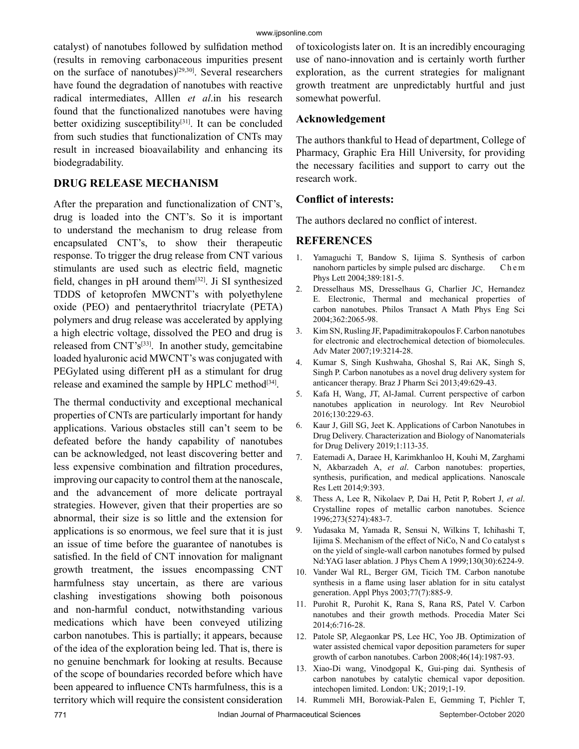#### www.ijpsonline.com

catalyst) of nanotubes followed by sulfidation method (results in removing carbonaceous impurities present on the surface of nanotubes)[29,30]. Several researchers have found the degradation of nanotubes with reactive radical intermediates, Alllen *et al*.in his research found that the functionalized nanotubes were having better oxidizing susceptibility $[31]$ . It can be concluded from such studies that functionalization of CNTs may result in increased bioavailability and enhancing its biodegradability.

## **DRUG RELEASE MECHANISM**

After the preparation and functionalization of CNT's, drug is loaded into the CNT's. So it is important to understand the mechanism to drug release from encapsulated CNT's, to show their therapeutic response. To trigger the drug release from CNT various stimulants are used such as electric field, magnetic field, changes in  $pH$  around them<sup>[32]</sup>. Ji SI synthesized TDDS of ketoprofen MWCNT's with polyethylene oxide (PEO) and pentaerythritol triacrylate (PETA) polymers and drug release was accelerated by applying a high electric voltage, dissolved the PEO and drug is released from CNT's[33]. In another study, gemcitabine loaded hyaluronic acid MWCNT's was conjugated with PEGylated using different pH as a stimulant for drug release and examined the sample by HPLC method<sup>[34]</sup>.

The thermal conductivity and exceptional mechanical properties of CNTs are particularly important for handy applications. Various obstacles still can't seem to be defeated before the handy capability of nanotubes can be acknowledged, not least discovering better and less expensive combination and filtration procedures, improving our capacity to control them at the nanoscale, and the advancement of more delicate portrayal strategies. However, given that their properties are so abnormal, their size is so little and the extension for applications is so enormous, we feel sure that it is just an issue of time before the guarantee of nanotubes is satisfied. In the field of CNT innovation for malignant growth treatment, the issues encompassing CNT harmfulness stay uncertain, as there are various clashing investigations showing both poisonous and non-harmful conduct, notwithstanding various medications which have been conveyed utilizing carbon nanotubes. This is partially; it appears, because of the idea of the exploration being led. That is, there is no genuine benchmark for looking at results. Because of the scope of boundaries recorded before which have been appeared to influence CNTs harmfulness, this is a territory which will require the consistent consideration of toxicologists later on. It is an incredibly encouraging use of nano-innovation and is certainly worth further exploration, as the current strategies for malignant growth treatment are unpredictably hurtful and just somewhat powerful.

#### **Acknowledgement**

The authors thankful to Head of department, College of Pharmacy, Graphic Era Hill University, for providing the necessary facilities and support to carry out the research work.

## **Conflict of interests:**

The authors declared no conflict of interest.

## **REFERENCES**

- 1. Yamaguchi T, Bandow S, Iijima S. Synthesis of carbon nanohorn particles by simple pulsed arc discharge. C h e m Phys Lett 2004;389:181-5.
- 2. Dresselhaus MS, Dresselhaus G, Charlier JC, Hernandez E. Electronic, Thermal and mechanical properties of carbon nanotubes. Philos Transact A Math Phys Eng Sci 2004;362:2065-98.
- 3. Kim SN, Rusling JF, Papadimitrakopoulos F. Carbon nanotubes for electronic and electrochemical detection of biomolecules. Adv Mater 2007;19:3214-28.
- 4. Kumar S, Singh Kushwaha, Ghoshal S, Rai AK, Singh S, Singh P. Carbon nanotubes as a novel drug delivery system for anticancer therapy. Braz J Pharm Sci 2013;49:629-43.
- 5. Kafa H, Wang, JT, Al-Jamal. Current perspective of carbon nanotubes application in neurology. Int Rev Neurobiol 2016;130:229-63.
- 6. Kaur J, Gill SG, Jeet K. Applications of Carbon Nanotubes in Drug Delivery. Characterization and Biology of Nanomaterials for Drug Delivery 2019;1:113-35.
- 7. Eatemadi A, Daraee H, Karimkhanloo H, Kouhi M, Zarghami N, Akbarzadeh A, *et al*. Carbon nanotubes: properties, synthesis, purification, and medical applications. Nanoscale Res Lett 2014;9:393.
- 8. Thess A, Lee R, Nikolaev P, Dai H, Petit P, Robert J, *et al*. Crystalline ropes of metallic carbon nanotubes. Science 1996;273(5274):483-7.
- 9. Yudasaka M, Yamada R, Sensui N, Wilkins T, Ichihashi T, Iijima S. Mechanism of the effect of NiCo, N and Co catalyst s on the yield of single-wall carbon nanotubes formed by pulsed Nd:YAG laser ablation. J Phys Chem A 1999;130(30):6224-9.
- 10. Vander Wal RL, Berger GM, Ticich TM. Carbon nanotube synthesis in a flame using laser ablation for in situ catalyst generation. Appl Phys 2003;77(7):885-9.
- 11. Purohit R, Purohit K, Rana S, Rana RS, Patel V. Carbon nanotubes and their growth methods. Procedia Mater Sci 2014;6:716-28.
- 12. Patole SP, Alegaonkar PS, Lee HC, Yoo JB. Optimization of water assisted chemical vapor deposition parameters for super growth of carbon nanotubes. Carbon 2008;46(14):1987-93.
- 13. Xiao-Di wang, Vinodgopal K, Gui-ping dai. Synthesis of carbon nanotubes by catalytic chemical vapor deposition. intechopen limited. London: UK; 2019;1-19.
- 14. Rummeli MH, Borowiak-Palen E, Gemming T, Pichler T,